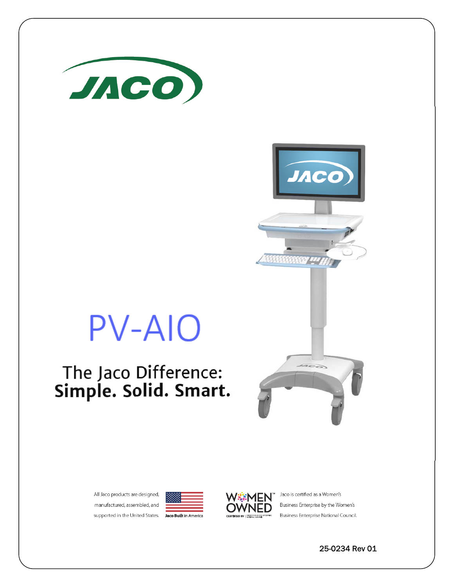

# **PV-AIO**

# The Jaco Difference: Simple. Solid. Smart.



All Jaco products are designed, manufactured, assembled, and





Jaco is certified as a Women's Business Enterprise by the Women's Business Enterprise National Council.

25-0234 Rev 01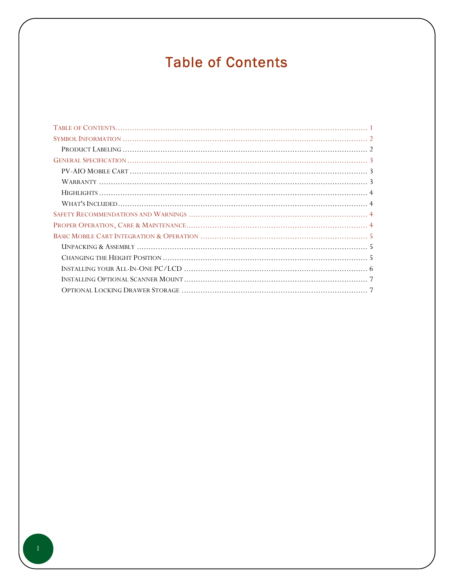# **Table of Contents**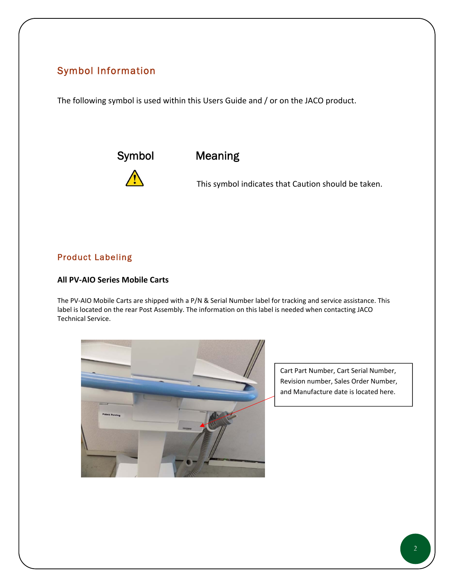# Symbol Information

The following symbol is used within this Users Guide and / or on the JACO product.



Symbol Meaning

This symbol indicates that Caution should be taken.

### Product Labeling

#### **All PV-AIO Series Mobile Carts**

The PV-AIO Mobile Carts are shipped with a P/N & Serial Number label for tracking and service assistance. This label is located on the rear Post Assembly. The information on this label is needed when contacting JACO Technical Service.



Cart Part Number, Cart Serial Number, Revision number, Sales Order Number, and Manufacture date is located here.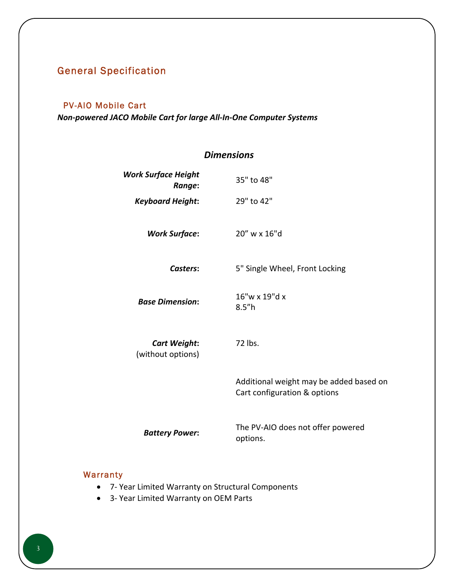# General Specification

#### PV-AIO Mobile Cart

*Non-powered JACO Mobile Cart for large All-In-One Computer Systems* 

# *Dimensions Work Surface Height Range***:** 35" to 48" *Keyboard Height***:** 29" to 42" *Work Surface***:** 20" w x 16"d *Casters***:** 5" Single Wheel, Front Locking *Base Dimension***:** 16"w x 19"d x 8.5"h *Cart Weight***:** (without options) 72 lbs. Additional weight may be added based on Cart configuration & options *Battery Power***:** The PV-AIO does not offer powered options.

#### **Warranty**

- 7- Year Limited Warranty on Structural Components
- 3- Year Limited Warranty on OEM Parts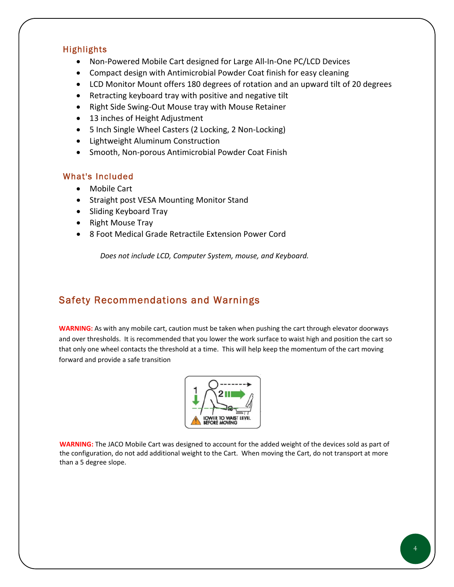#### **Highlights**

- Non-Powered Mobile Cart designed for Large All-In-One PC/LCD Devices
- Compact design with Antimicrobial Powder Coat finish for easy cleaning
- LCD Monitor Mount offers 180 degrees of rotation and an upward tilt of 20 degrees
- Retracting keyboard tray with positive and negative tilt
- Right Side Swing-Out Mouse tray with Mouse Retainer
- 13 inches of Height Adjustment
- 5 Inch Single Wheel Casters (2 Locking, 2 Non-Locking)
- Lightweight Aluminum Construction
- Smooth, Non-porous Antimicrobial Powder Coat Finish

#### What's Included

- Mobile Cart
- Straight post VESA Mounting Monitor Stand
- Sliding Keyboard Tray
- Right Mouse Tray
- 8 Foot Medical Grade Retractile Extension Power Cord

*Does not include LCD, Computer System, mouse, and Keyboard.* 

# Safety Recommendations and Warnings

**WARNING:** As with any mobile cart, caution must be taken when pushing the cart through elevator doorways and over thresholds. It is recommended that you lower the work surface to waist high and position the cart so that only one wheel contacts the threshold at a time. This will help keep the momentum of the cart moving forward and provide a safe transition



**WARNING:** The JACO Mobile Cart was designed to account for the added weight of the devices sold as part of the configuration, do not add additional weight to the Cart. When moving the Cart, do not transport at more than a 5 degree slope.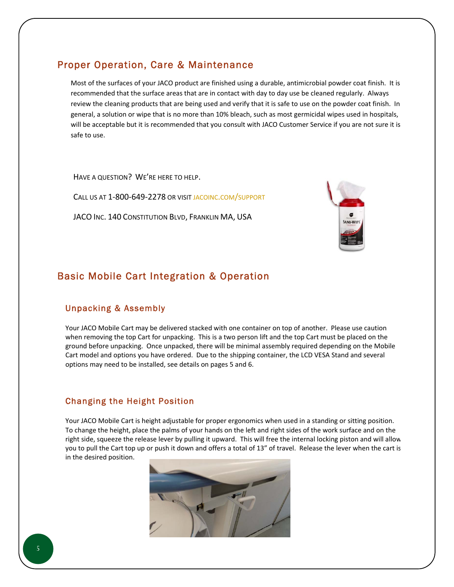### Proper Operation, Care & Maintenance

Most of the surfaces of your JACO product are finished using a durable, antimicrobial powder coat finish. It is recommended that the surface areas that are in contact with day to day use be cleaned regularly. Always review the cleaning products that are being used and verify that it is safe to use on the powder coat finish. In general, a solution or wipe that is no more than 10% bleach, such as most germicidal wipes used in hospitals, will be acceptable but it is recommended that you consult with JACO Customer Service if you are not sure it is safe to use.

HAVE A QUESTION? WE'RE HERE TO HELP.

CALL US AT 1-800-649-2278 OR VISIT JACOINC.COM/SUPPORT

JACO INC. 140 CONSTITUTION BLVD, FRANKLIN MA, USA



# Basic Mobile Cart Integration & Operation

#### Unpacking & Assembly

Your JACO Mobile Cart may be delivered stacked with one container on top of another. Please use caution when removing the top Cart for unpacking. This is a two person lift and the top Cart must be placed on the ground before unpacking. Once unpacked, there will be minimal assembly required depending on the Mobile Cart model and options you have ordered. Due to the shipping container, the LCD VESA Stand and several options may need to be installed, see details on pages 5 and 6.

#### Changing the Height Position

Your JACO Mobile Cart is height adjustable for proper ergonomics when used in a standing or sitting position. To change the height, place the palms of your hands on the left and right sides of the work surface and on the right side, squeeze the release lever by pulling it upward. This will free the internal locking piston and will allow you to pull the Cart top up or push it down and offers a total of 13" of travel. Release the lever when the cart is in the desired position.

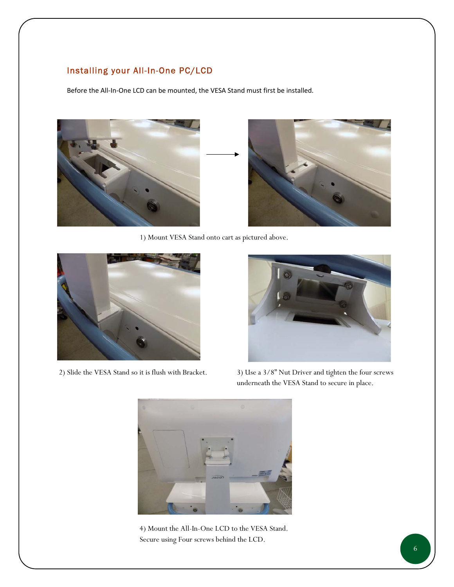### Installing your All-In-One PC/LCD

Before the All-In-One LCD can be mounted, the VESA Stand must first be installed.



1) Mount VESA Stand onto cart as pictured above.



2) Slide the VESA Stand so it is flush with Bracket. 3) Use a 3/8" Nut Driver and tighten the four screws



underneath the VESA Stand to secure in place.



4) Mount the All-In-One LCD to the VESA Stand. Secure using Four screws behind the LCD.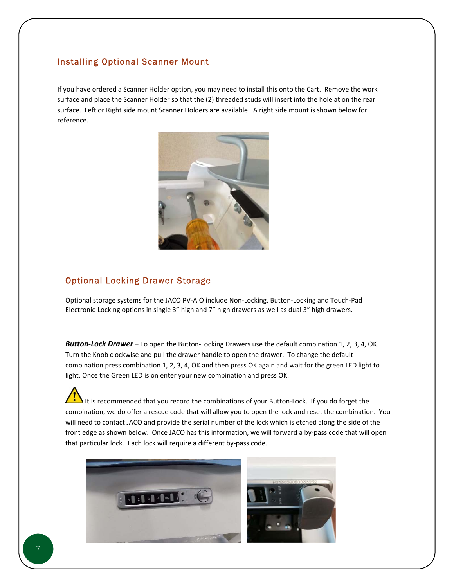#### Installing Optional Scanner Mount

If you have ordered a Scanner Holder option, you may need to install this onto the Cart. Remove the work surface and place the Scanner Holder so that the (2) threaded studs will insert into the hole at on the rear surface. Left or Right side mount Scanner Holders are available. A right side mount is shown below for reference.



#### Optional Locking Drawer Storage

Optional storage systems for the JACO PV-AIO include Non-Locking, Button-Locking and Touch-Pad Electronic-Locking options in single 3" high and 7" high drawers as well as dual 3" high drawers.

*Button-Lock Drawer* – To open the Button-Locking Drawers use the default combination 1, 2, 3, 4, OK. Turn the Knob clockwise and pull the drawer handle to open the drawer. To change the default combination press combination 1, 2, 3, 4, OK and then press OK again and wait for the green LED light to light. Once the Green LED is on enter your new combination and press OK.

It is recommended that you record the combinations of your Button-Lock. If you do forget the combination, we do offer a rescue code that will allow you to open the lock and reset the combination. You will need to contact JACO and provide the serial number of the lock which is etched along the side of the front edge as shown below. Once JACO has this information, we will forward a by-pass code that will open that particular lock. Each lock will require a different by-pass code.